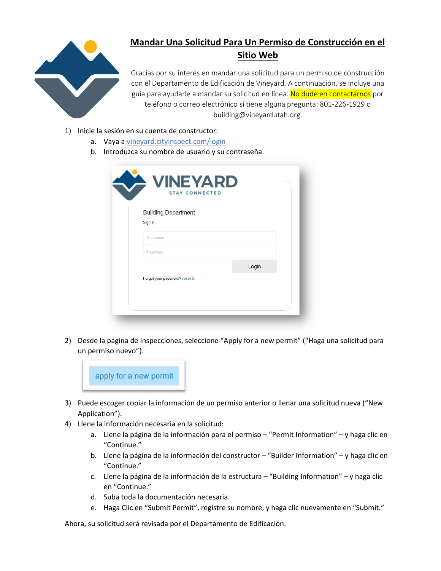

## Mandar Una Solicitud Para Un Permiso de Construcción en el Sitio Web

Gracias por su interés en mandar una solicitud para un permiso de construcción con el Departamento de Edificación de Vineyard. A continuación, se incluye una guía para ayudarle a mandar su solicitud en línea. No dude en contactarnos por teléfono o correo electrónico si tiene alguna pregunta: 801-226-1929 o building@vineyardutah.org.

- 1) Inicie la sesión en su cuenta de constructor:
	- a. Vaya a vineyard.cityinspect.com/login
	- b. Introduzca su nombre de usuario y su contraseña.

| <b>Building Department</b>      |       |
|---------------------------------|-------|
| Sign in.                        |       |
| <b>Username</b>                 |       |
| Password                        |       |
|                                 | Login |
| Forgot your password? reset it. |       |

2) Desde la página de Inspecciones, seleccione "Apply for a new permit" ("Haga una solicitud para un permiso nuevo").



- 3) Puede escoger copiar la información de un permiso anterior o llenar una solicitud nueva ("New Application").
- 4) Llene la información necesaria en la solicitud:
	- a. Llene la página de la información para el permiso "Permit Information" y haga clic en "Continue."
	- b. Llene la página de la información del constructor "Builder Information" y haga clic en "Continue."
	- c. Llene la página de la información de la estructura "Building Information" y haga clic en "Continue."
	- d. Suba toda la documentación necesaria.
	- e. Haga Clic en "Submit Permit", registre su nombre, y haga clic nuevamente en "Submit."

Ahora, su solicitud será revisada por el Departamento de Edificación.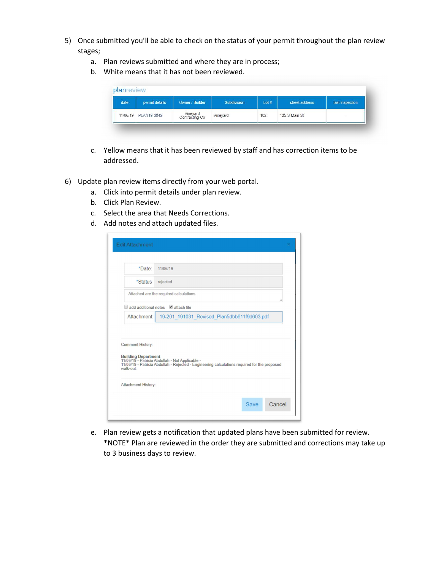- 5) Once submitted you'll be able to check on the status of your permit throughout the plan review stages;
	- a. Plan reviews submitted and where they are in process;
	- b. White means that it has not been reviewed.

| date | permit details       | Owner / Builder            | Subdivision | Lot# | street address | last inspection |
|------|----------------------|----------------------------|-------------|------|----------------|-----------------|
|      | 11/06/19 PLAN19-3042 | Vineyard<br>Contracting Co | Vineyard    | 102  | 125 S Main St  | ۰               |

- c. Yellow means that it has been reviewed by staff and has correction items to be addressed.
- 6) Update plan review items directly from your web portal.
	- a. Click into permit details under plan review.
	- b. Click Plan Review.
	- c. Select the area that Needs Corrections.
	- d. Add notes and attach updated files.

| *Date:                        | 11/06/19                                                                                                                                                               |
|-------------------------------|------------------------------------------------------------------------------------------------------------------------------------------------------------------------|
| *Status                       | rejected                                                                                                                                                               |
|                               | Attached are the required calculations.                                                                                                                                |
|                               | add additional notes attach file                                                                                                                                       |
| Attachment:                   | 19-201 191031 Revised Plan5dbb611f9d603.pdf                                                                                                                            |
|                               |                                                                                                                                                                        |
| Comment History:<br>walk-out. | Building Department<br>11/06/19 - Patricia Abdullah - Not Applicable -<br>11/06/19 - Patricia Abdullah - Rejected - Engineering calculations required for the proposed |
| Attachment History:           |                                                                                                                                                                        |

e. Plan review gets a notification that updated plans have been submitted for review. \*NOTE\* Plan are reviewed in the order they are submitted and corrections may take up to 3 business days to review.